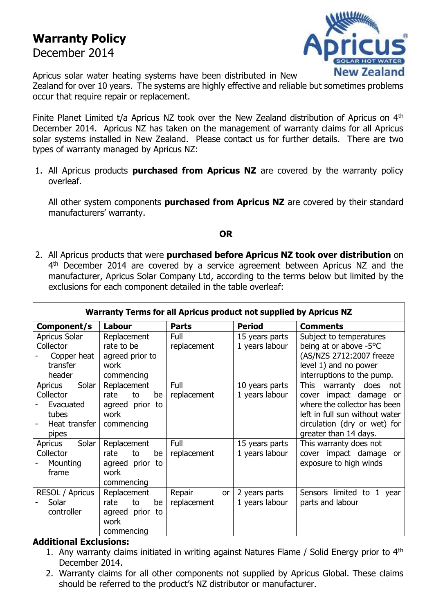## **Warranty Policy**

December 2014



Apricus solar water heating systems have been distributed in New Zealand for over 10 years. The systems are highly effective and reliable but sometimes problems occur that require repair or replacement.

Finite Planet Limited t/a Apricus NZ took over the New Zealand distribution of Apricus on 4<sup>th</sup> December 2014. Apricus NZ has taken on the management of warranty claims for all Apricus solar systems installed in New Zealand. Please contact us for further details. There are two types of warranty managed by Apricus NZ:

1. All Apricus products **purchased from Apricus NZ** are covered by the warranty policy overleaf.

All other system components **purchased from Apricus NZ** are covered by their standard manufacturers' warranty.

## **OR**

2. All Apricus products that were **purchased before Apricus NZ took over distribution** on 4<sup>th</sup> December 2014 are covered by a service agreement between Apricus NZ and the manufacturer, Apricus Solar Company Ltd, according to the terms below but limited by the exclusions for each component detailed in the table overleaf:

| Warranty Terms for all Apricus product not supplied by Apricus NZ |                    |              |                |                                     |  |  |  |  |  |
|-------------------------------------------------------------------|--------------------|--------------|----------------|-------------------------------------|--|--|--|--|--|
| Component/s                                                       | Labour             | <b>Parts</b> | <b>Period</b>  | <b>Comments</b>                     |  |  |  |  |  |
| Apricus Solar                                                     | Replacement        | Full         | 15 years parts | Subject to temperatures             |  |  |  |  |  |
| Collector                                                         | rate to be         | replacement  | 1 years labour | being at or above -5°C              |  |  |  |  |  |
| Copper heat                                                       | agreed prior to    |              |                | (AS/NZS 2712:2007 freeze            |  |  |  |  |  |
| transfer                                                          | work               |              |                | level 1) and no power               |  |  |  |  |  |
| header                                                            | commencing         |              |                | interruptions to the pump.          |  |  |  |  |  |
| Solar<br>Apricus                                                  | Replacement        | Full         | 10 years parts | <b>This</b><br>warranty does<br>not |  |  |  |  |  |
| Collector                                                         | rate<br>to<br>be   | replacement  | 1 years labour | impact damage or<br>cover           |  |  |  |  |  |
| Evacuated                                                         | agreed prior to    |              |                | where the collector has been        |  |  |  |  |  |
| tubes                                                             | work               |              |                | left in full sun without water      |  |  |  |  |  |
| Heat transfer                                                     | commencing         |              |                | circulation (dry or wet) for        |  |  |  |  |  |
| pipes                                                             |                    |              |                | greater than 14 days.               |  |  |  |  |  |
| Solar<br>Apricus                                                  | Replacement        | Full         | 15 years parts | This warranty does not              |  |  |  |  |  |
| Collector                                                         | rate<br>to<br>be   | replacement  | 1 years labour | cover impact damage or              |  |  |  |  |  |
| Mounting                                                          | agreed prior<br>to |              |                | exposure to high winds              |  |  |  |  |  |
| frame                                                             | work               |              |                |                                     |  |  |  |  |  |
|                                                                   | commencing         |              |                |                                     |  |  |  |  |  |
| RESOL / Apricus                                                   | Replacement        | Repair<br>or | 2 years parts  | Sensors limited to 1<br>year        |  |  |  |  |  |
| Solar                                                             | rate<br>be<br>to   | replacement  | 1 years labour | parts and labour                    |  |  |  |  |  |
| controller                                                        | agreed prior to    |              |                |                                     |  |  |  |  |  |
|                                                                   | work               |              |                |                                     |  |  |  |  |  |
|                                                                   | commencing         |              |                |                                     |  |  |  |  |  |

## **Additional Exclusions:**

- 1. Any warranty claims initiated in writing against Natures Flame / Solid Energy prior to  $4<sup>th</sup>$ December 2014.
- 2. Warranty claims for all other components not supplied by Apricus Global. These claims should be referred to the product's NZ distributor or manufacturer.